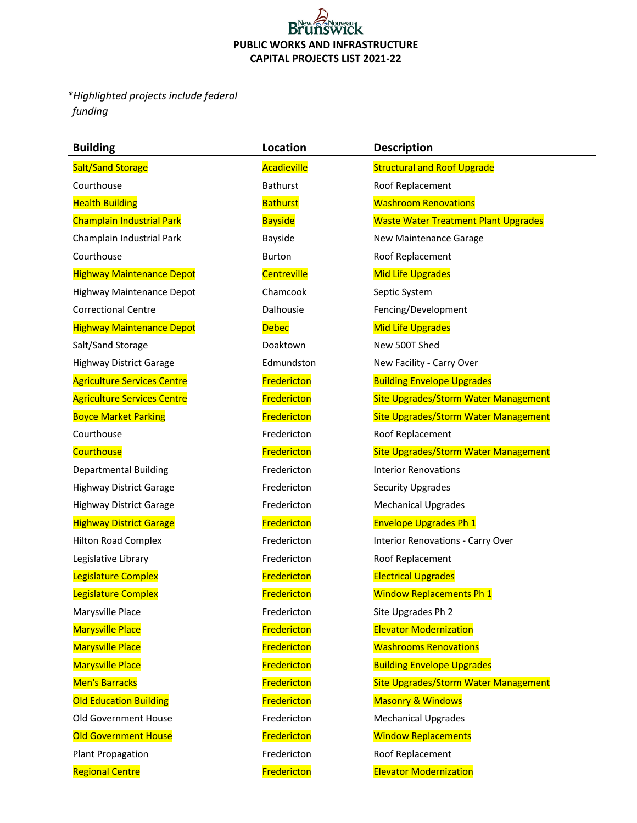## **Brur TCK PUBLIC WORKS AND INFRASTRUCTURE CAPITAL PROJECTS LIST 2021-22**

*\*Highlighted projects include federal funding* 

| <b>Building</b>                    | Location        | <b>Description</b>                          |  |
|------------------------------------|-----------------|---------------------------------------------|--|
| <b>Salt/Sand Storage</b>           | Acadieville     | <b>Structural and Roof Upgrade</b>          |  |
| Courthouse                         | Bathurst        | Roof Replacement                            |  |
| <b>Health Building</b>             | <b>Bathurst</b> | <b>Washroom Renovations</b>                 |  |
| <b>Champlain Industrial Park</b>   | <b>Bayside</b>  | <b>Waste Water Treatment Plant Upgrades</b> |  |
| Champlain Industrial Park          | Bayside         | New Maintenance Garage                      |  |
| Courthouse                         | <b>Burton</b>   | Roof Replacement                            |  |
| <b>Highway Maintenance Depot</b>   | Centreville     | <b>Mid Life Upgrades</b>                    |  |
| <b>Highway Maintenance Depot</b>   | Chamcook        | Septic System                               |  |
| <b>Correctional Centre</b>         | Dalhousie       | Fencing/Development                         |  |
| <b>Highway Maintenance Depot</b>   | <b>Debec</b>    | <b>Mid Life Upgrades</b>                    |  |
| Salt/Sand Storage                  | Doaktown        | New 500T Shed                               |  |
| <b>Highway District Garage</b>     | Edmundston      | New Facility - Carry Over                   |  |
| <b>Agriculture Services Centre</b> | Fredericton     | <b>Building Envelope Upgrades</b>           |  |
| <b>Agriculture Services Centre</b> | Fredericton     | Site Upgrades/Storm Water Management        |  |
| <b>Boyce Market Parking</b>        | Fredericton     | <b>Site Upgrades/Storm Water Management</b> |  |
| Courthouse                         | Fredericton     | Roof Replacement                            |  |
| <b>Courthouse</b>                  | Fredericton     | Site Upgrades/Storm Water Management        |  |
| <b>Departmental Building</b>       | Fredericton     | <b>Interior Renovations</b>                 |  |
| <b>Highway District Garage</b>     | Fredericton     | Security Upgrades                           |  |
| <b>Highway District Garage</b>     | Fredericton     | <b>Mechanical Upgrades</b>                  |  |
| <b>Highway District Garage</b>     | Fredericton     | <b>Envelope Upgrades Ph 1</b>               |  |
| <b>Hilton Road Complex</b>         | Fredericton     | <b>Interior Renovations - Carry Over</b>    |  |
| Legislative Library                | Fredericton     | Roof Replacement                            |  |
| Legislature Complex                | Fredericton     | <b>Electrical Upgrades</b>                  |  |
| Legislature Complex                | Fredericton     | <b>Window Replacements Ph 1</b>             |  |
| Marysville Place                   | Fredericton     | Site Upgrades Ph 2                          |  |
| <b>Marysville Place</b>            | Fredericton     | <b>Elevator Modernization</b>               |  |
| <b>Marysville Place</b>            | Fredericton     | <b>Washrooms Renovations</b>                |  |
| <b>Marysville Place</b>            | Fredericton     | <b>Building Envelope Upgrades</b>           |  |
| Men's Barracks                     | Fredericton     | <b>Site Upgrades/Storm Water Management</b> |  |
| <b>Old Education Building</b>      | Fredericton     | <b>Masonry &amp; Windows</b>                |  |
| Old Government House               | Fredericton     | <b>Mechanical Upgrades</b>                  |  |
| <b>Old Government House</b>        | Fredericton     | <b>Window Replacements</b>                  |  |
| <b>Plant Propagation</b>           | Fredericton     | Roof Replacement                            |  |
| <b>Regional Centre</b>             | Fredericton     | <b>Elevator Modernization</b>               |  |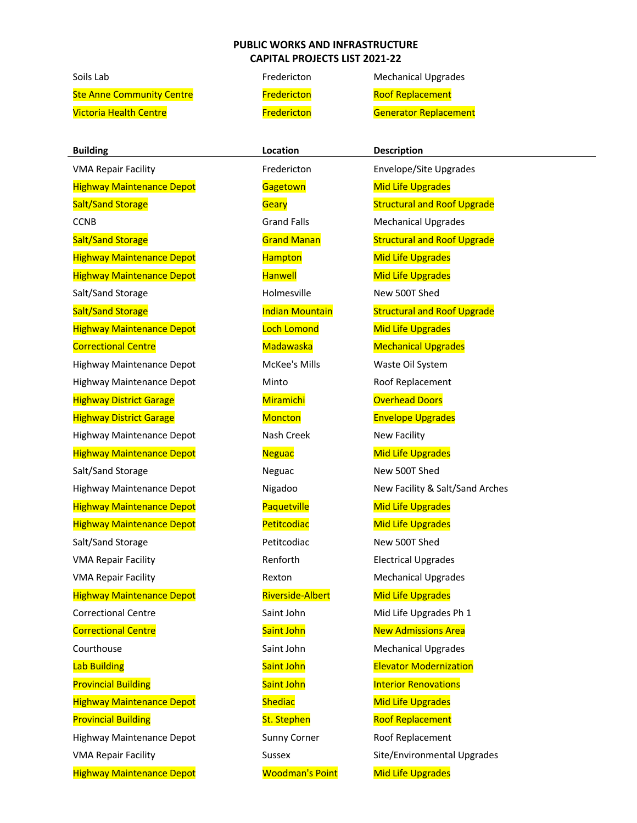## **PUBLIC WORKS AND INFRASTRUCTURE CAPITAL PROJECTS LIST 2021-22**

Ste Anne Community Centre **Fredericton** Fredericton Roof Replacement

Highway Maintenance Depot **Gagetown** Gagetown Mid Life Upgrades Salt/Sand Storage The Holmesville New 500T Shed Highway Maintenance Depot McKee's Mills Waste Oil System Highway District Garage Miramichi Miramichi Number overhead Doors Highway Maintenance Depot Nash Creek New Facility Salt/Sand Storage Neguac New 500T Shed Salt/Sand Storage The Petitcodiac New 500T Shed

Soils Lab **Fredericton** Mechanical Upgrades Victoria Health Centre **Fredericton** Fredericton **Generator Replacement** 

**Building Construction Location Description** VMA Repair Facility **Fredericton** Envelope/Site Upgrades Salt/Sand Storage Salt/Sand Structural and Roof Upgrade CCNB Grand Falls Mechanical Upgrades Salt/Sand Storage **Grand Manan** Grand Manan Structural and Roof Upgrade Highway Maintenance Depot **Hampton** Hampton Mid Life Upgrades Highway Maintenance Depot **Hanwell** Hanwell Mid Life Upgrades Salt/Sand Storage **Indian Mountain** Structural and Roof Upgrade Highway Maintenance Depot National Loch Lomond Mid Life Upgrades Correctional Centre **Matawaska** Madawaska Mechanical Upgrades Highway Maintenance Depot Minto Minto Roof Replacement Highway District Garage Moncton Moncton Envelope Upgrades Highway Maintenance Depot Neguac Neguac Mid Life Upgrades Highway Maintenance Depot Nigadoo New Facility & Salt/Sand Arches Highway Maintenance Depot **Paquetville** Mid Life Upgrades Highway Maintenance Depot **Petitcodiac** Mid Life Upgrades VMA Repair Facility **No. 2018** Renforth Electrical Upgrades VMA Repair Facility **Rexton** Rexton Mechanical Upgrades Highway Maintenance Depot **Riverside-Albert** Mid Life Upgrades Correctional Centre The Saint John Mid Life Upgrades Ph 1 **Correctional Centre Community Correctional Centre Control Centre Constructs** Saint John New Admissions Area Courthouse **Saint John Mechanical Upgrades** Saint John Mechanical Upgrades Lab Building **Saint John Elevator Modernization** Cab Building **Provincial Building Community Communist Communist Communist Communist Communist Communist Communist Communist Communist Communist Communist Communist Communist Communist Communist Communist Communist Communist Communist C** Highway Maintenance Depot **Shediac** Shediac Mid Life Upgrades Provincial Building The Roof Replacement Control of St. Stephen Roof Replacement Highway Maintenance Depot Sunny Corner Roof Replacement VMA Repair Facility **Sussex** Sussex Site/Environmental Upgrades Highway Maintenance Depot Moodman's Point Mid Life Upgrades